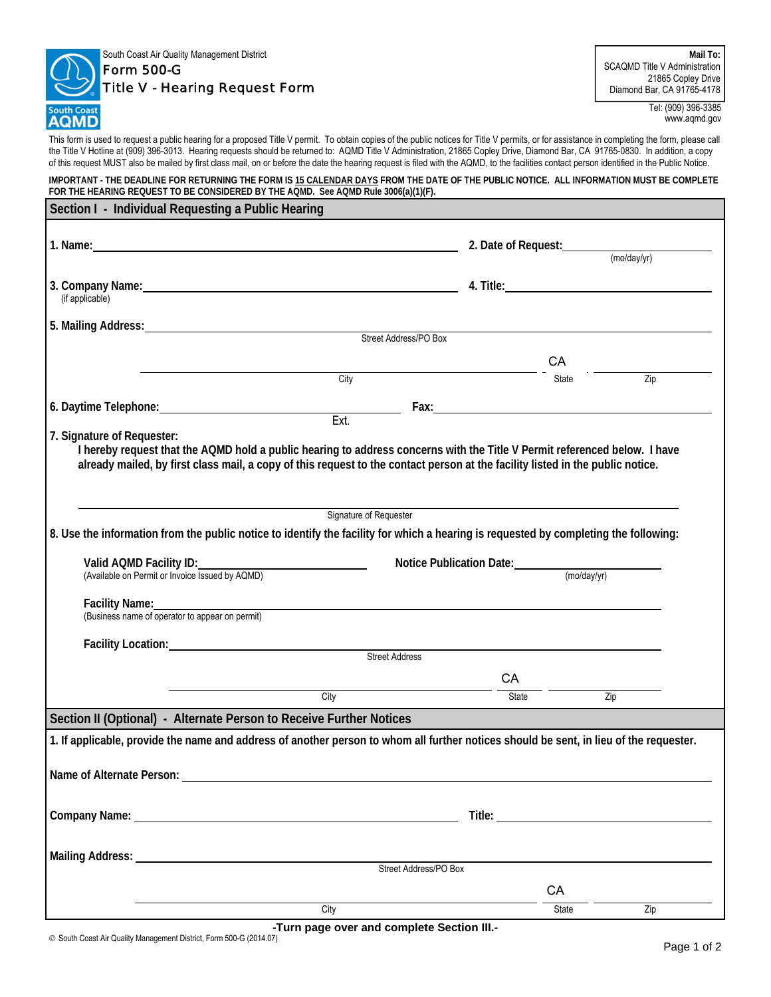

## South Coast Air Quality Management District Form 500-G

## Title V - Hearing Request Form

**Mail To:**  SCAQMD Title V Administration 21865 Copley Drive Diamond Bar, CA 91765-4178

> Tel: (909) 396-3385 www.aqmd.gov

This form is used to request a public hearing for a proposed Title V permit. To obtain copies of the public notices for Title V permits, or for assistance in completing the form, please call the Title V Hotline at (909) 396-3013. Hearing requests should be returned to: AQMD Title V Administration, 21865 Copley Drive, Diamond Bar, CA 91765-0830. In addition, a copy of this request MUST also be mailed by first class mail, on or before the date the hearing request is filed with the AQMD, to the facilities contact person identified in the Public Notice.

**IMPORTANT - THE DEADLINE FOR RETURNING THE FORM IS 15 CALENDAR DAYS FROM THE DATE OF THE PUBLIC NOTICE. ALL INFORMATION MUST BE COMPLETE**  FOR THE HEARING REQUEST TO BE CONSIDERED BY THE AQMD. See AQMD Rule 3006(a)(1)(F).

| Section I - Individual Requesting a Public Hearing                                                                                                                                                                                                          |                        |                                      |                  |
|-------------------------------------------------------------------------------------------------------------------------------------------------------------------------------------------------------------------------------------------------------------|------------------------|--------------------------------------|------------------|
|                                                                                                                                                                                                                                                             |                        |                                      | (moday/yr)       |
|                                                                                                                                                                                                                                                             |                        |                                      |                  |
| (if applicable)                                                                                                                                                                                                                                             |                        |                                      |                  |
| 5. Mailing Address: Street Address/PO Box                                                                                                                                                                                                                   |                        |                                      |                  |
|                                                                                                                                                                                                                                                             |                        |                                      |                  |
|                                                                                                                                                                                                                                                             |                        | CA<br>City                           |                  |
|                                                                                                                                                                                                                                                             |                        | State                                | $\overline{Zip}$ |
| 6. Daytime Telephone: Campaign Contract Contract Contract Contract Contract Contract Contract Contract Contract Contract Contract Contract Contract Contract Contract Contract Contract Contract Contract Contract Contract Co                              |                        |                                      |                  |
| 7. Signature of Requester:                                                                                                                                                                                                                                  | Ext.                   |                                      |                  |
| I hereby request that the AQMD hold a public hearing to address concerns with the Title V Permit referenced below. I have<br>already mailed, by first class mail, a copy of this request to the contact person at the facility listed in the public notice. |                        |                                      |                  |
|                                                                                                                                                                                                                                                             | Signature of Requester |                                      |                  |
| 8. Use the information from the public notice to identify the facility for which a hearing is requested by completing the following:                                                                                                                        |                        |                                      |                  |
| Valid AQMD Facility ID:<br>(Available on Permit or Invoice Issued by AQMD)                                                                                                                                                                                  |                        | Notice Publication Date: (mo/day/yr) |                  |
| Facility Name:<br>(Business name of operator to appear on permit)                                                                                                                                                                                           |                        |                                      |                  |
|                                                                                                                                                                                                                                                             |                        |                                      |                  |
|                                                                                                                                                                                                                                                             | <b>Street Address</b>  |                                      |                  |
|                                                                                                                                                                                                                                                             | City                   | CA                                   |                  |
|                                                                                                                                                                                                                                                             |                        | State                                | Zip              |
| Section II (Optional) - Alternate Person to Receive Further Notices                                                                                                                                                                                         |                        |                                      |                  |
| 1. If applicable, provide the name and address of another person to whom all further notices should be sent, in lieu of the requester.                                                                                                                      |                        |                                      |                  |
|                                                                                                                                                                                                                                                             |                        |                                      |                  |
| Name of Alternate Person:                                                                                                                                                                                                                                   |                        |                                      |                  |
|                                                                                                                                                                                                                                                             |                        |                                      |                  |
|                                                                                                                                                                                                                                                             |                        |                                      |                  |
|                                                                                                                                                                                                                                                             |                        |                                      |                  |
|                                                                                                                                                                                                                                                             |                        | Street Address/PO Box                |                  |
|                                                                                                                                                                                                                                                             |                        | CA                                   |                  |
|                                                                                                                                                                                                                                                             | City                   | State                                | Zip              |

**-Turn page over and complete Section III.-**